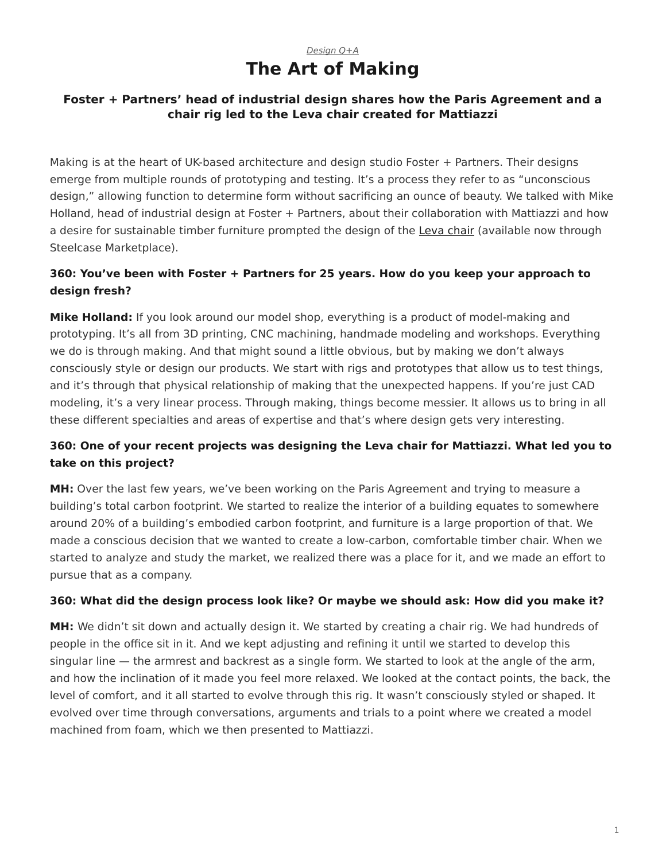# *[Design Q+A](https://www.steelcase.com/research/topics/design-q-a/)* **The Art of Making**

## <span id="page-0-0"></span>**Foster + Partners' head of industrial design shares how the Paris Agreement and a chair rig led to the Leva chair created for Mattiazzi**

Making is at the heart of UK-based architecture and design studio Foster + Partners. Their designs emerge from multiple rounds of prototyping and testing. It's a process they refer to as "unconscious design," allowing function to determine form without sacrificing an ounce of beauty. We talked with Mike Holland, head of industrial design at Foster + Partners, about their collaboration with Mattiazzi and how a desire for sustainable timber furniture prompted the design of the [Leva chair](https://www.steelcase.com/products/guest-chairs-stools/leva-armchair/) (available now through Steelcase Marketplace).

## **360: You've been with Foster + Partners for 25 years. How do you keep your approach to design fresh?**

**Mike Holland:** If you look around our model shop, everything is a product of model-making and prototyping. It's all from 3D printing, CNC machining, handmade modeling and workshops. Everything we do is through making. And that might sound a little obvious, but by making we don't always consciously style or design our products. We start with rigs and prototypes that allow us to test things, and it's through that physical relationship of making that the unexpected happens. If you're just CAD modeling, it's a very linear process. Through making, things become messier. It allows us to bring in all these different specialties and areas of expertise and that's where design gets very interesting.

# **360: One of your recent projects was designing the Leva chair for Mattiazzi. What led you to take on this project?**

**MH:** Over the last few years, we've been working on the Paris Agreement and trying to measure a building's total carbon footprint. We started to realize the interior of a building equates to somewhere around 20% of a building's embodied carbon footprint, and furniture is a large proportion of that. We made a conscious decision that we wanted to create a low-carbon, comfortable timber chair. When we started to analyze and study the market, we realized there was a place for it, and we made an effort to pursue that as a company.

## **360: What did the design process look like? Or maybe we should ask: How did you make it?**

**MH:** We didn't sit down and actually design it. We started by creating a chair rig. We had hundreds of people in the office sit in it. And we kept adjusting and refining it until we started to develop this singular line — the armrest and backrest as a single form. We started to look at the angle of the arm, and how the inclination of it made you feel more relaxed. We looked at the contact points, the back, the level of comfort, and it all started to evolve through this rig. It wasn't consciously styled or shaped. It evolved over time through conversations, arguments and trials to a point where we created a model machined from foam, which we then presented to Mattiazzi.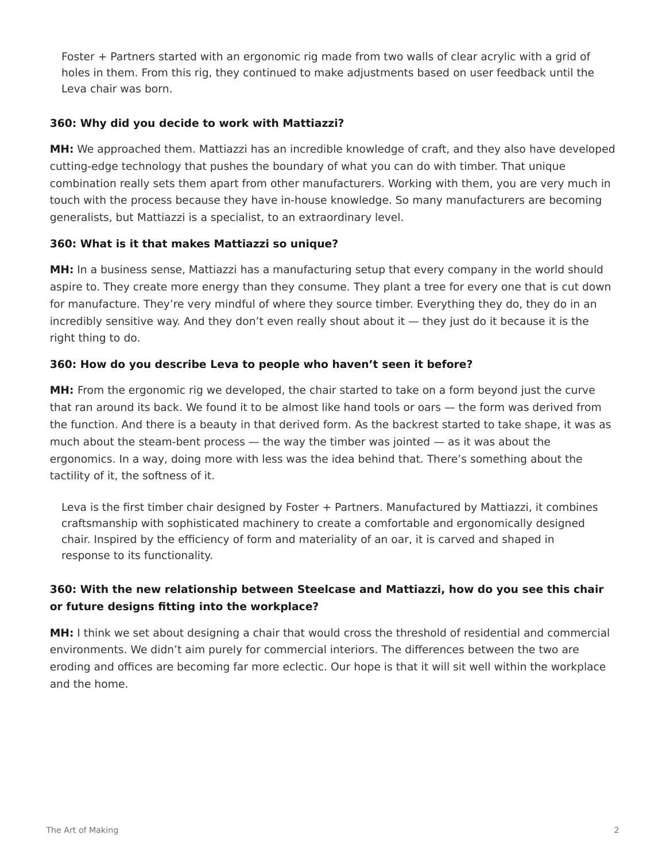Foster + Partners started with an ergonomic rig made from two walls of clear acrylic with a grid of holes in them. From this rig, they continued to make adjustments based on user feedback until the Leva chair was born.

## **360: Why did you decide to work with Mattiazzi?**

**MH:** We approached them. Mattiazzi has an incredible knowledge of craft, and they also have developed cutting-edge technology that pushes the boundary of what you can do with timber. That unique combination really sets them apart from other manufacturers. Working with them, you are very much in touch with the process because they have in-house knowledge. So many manufacturers are becoming generalists, but Mattiazzi is a specialist, to an extraordinary level.

#### **360: What is it that makes Mattiazzi so unique?**

**MH:** In a business sense, Mattiazzi has a manufacturing setup that every company in the world should aspire to. They create more energy than they consume. They plant a tree for every one that is cut down for manufacture. They're very mindful of where they source timber. Everything they do, they do in an incredibly sensitive way. And they don't even really shout about it — they just do it because it is the right thing to do.

#### **360: How do you describe Leva to people who haven't seen it before?**

**MH:** From the ergonomic rig we developed, the chair started to take on a form beyond just the curve that ran around its back. We found it to be almost like hand tools or oars — the form was derived from the function. And there is a beauty in that derived form. As the backrest started to take shape, it was as much about the steam-bent process  $-$  the way the timber was jointed  $-$  as it was about the ergonomics. In a way, doing more with less was the idea behind that. There's something about the tactility of it, the softness of it.

Leva is the first timber chair designed by Foster + Partners. Manufactured by Mattiazzi, it combines craftsmanship with sophisticated machinery to create a comfortable and ergonomically designed chair. Inspired by the efficiency of form and materiality of an oar, it is carved and shaped in response to its functionality.

## **360: With the new relationship between Steelcase and Mattiazzi, how do you see this chair or future designs fitting into the workplace?**

**MH:** I think we set about designing a chair that would cross the threshold of residential and commercial environments. We didn't aim purely for commercial interiors. The differences between the two are eroding and offices are becoming far more eclectic. Our hope is that it will sit well within the workplace and the home.